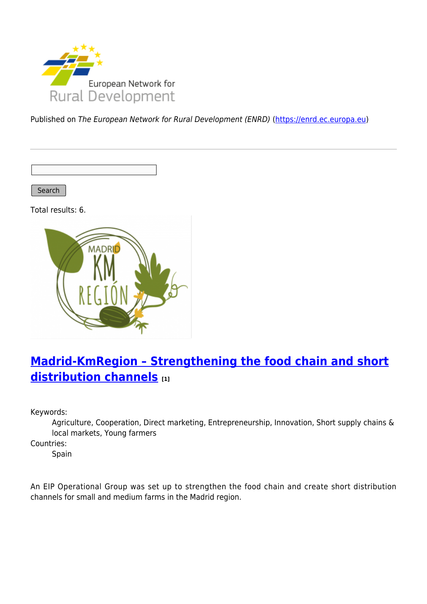

Published on The European Network for Rural Development (ENRD) [\(https://enrd.ec.europa.eu](https://enrd.ec.europa.eu))

Search

Total results: 6.



# **[Madrid-KmRegion – Strengthening the food chain and short](https://enrd.ec.europa.eu/projects-practice/madrid-kmregion-strengthening-food-chain-and-short-distribution-channels_en) [distribution channels](https://enrd.ec.europa.eu/projects-practice/madrid-kmregion-strengthening-food-chain-and-short-distribution-channels_en) [1]**

Keywords:

Agriculture, Cooperation, Direct marketing, Entrepreneurship, Innovation, Short supply chains & local markets, Young farmers

Countries:

Spain

An EIP Operational Group was set up to strengthen the food chain and create short distribution channels for small and medium farms in the Madrid region.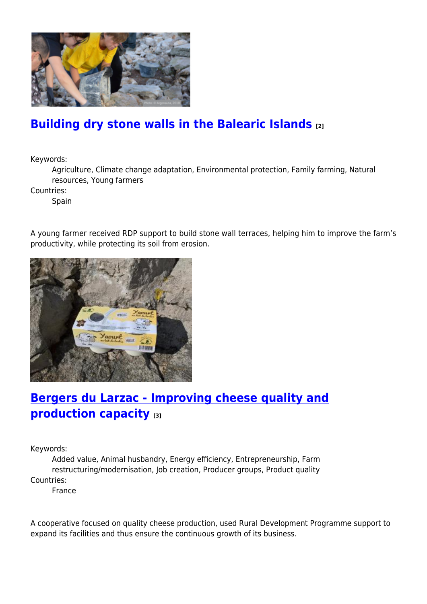

### **[Building dry stone walls in the Balearic Islands](https://enrd.ec.europa.eu/projects-practice/building-dry-stone-walls-balearic-islands_en) [2]**

Keywords:

Agriculture, Climate change adaptation, Environmental protection, Family farming, Natural resources, Young farmers

Countries:

**Spain** 

A young farmer received RDP support to build stone wall terraces, helping him to improve the farm's productivity, while protecting its soil from erosion.



# **[Bergers du Larzac - Improving cheese quality and](https://enrd.ec.europa.eu/projects-practice/bergers-du-larzac-improving-cheese-quality-and-production-capacity_en) [production capacity](https://enrd.ec.europa.eu/projects-practice/bergers-du-larzac-improving-cheese-quality-and-production-capacity_en) [3]**

Keywords:

Added value, Animal husbandry, Energy efficiency, Entrepreneurship, Farm restructuring/modernisation, Job creation, Producer groups, Product quality Countries:

France

A cooperative focused on quality cheese production, used Rural Development Programme support to expand its facilities and thus ensure the continuous growth of its business.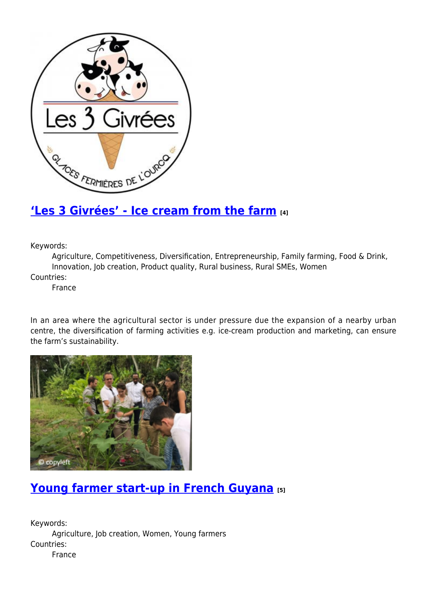

#### **['Les 3 Givrées' - Ice cream from the farm](https://enrd.ec.europa.eu/projects-practice/les-3-givrees-ice-cream-farm_en) [4]**

Keywords:

Agriculture, Competitiveness, Diversification, Entrepreneurship, Family farming, Food & Drink, Innovation, Job creation, Product quality, Rural business, Rural SMEs, Women

Countries:

France

In an area where the agricultural sector is under pressure due the expansion of a nearby urban centre, the diversification of farming activities e.g. ice-cream production and marketing, can ensure the farm's sustainability.



## **[Young farmer start-up in French Guyana](https://enrd.ec.europa.eu/projects-practice/young-farmer-start-french-guyana_en) [5]**

Keywords: Agriculture, Job creation, Women, Young farmers Countries: France